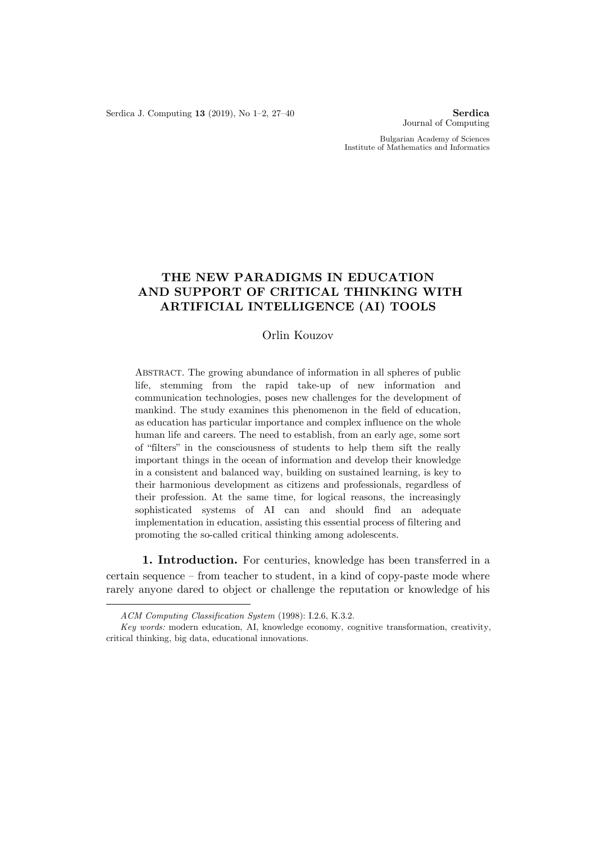Serdica J. Computing **13** (2019), No 1–2, 27–40 **Serdica**

Journal of Computing

Bulgarian Academy of Sciences Institute of Mathematics and Informatics

# **THE NEW PARADIGMS IN EDUCATION AND SUPPORT OF CRITICAL THINKING WITH ARTIFICIAL INTELLIGENCE (AI) TOOLS**

# Orlin Kouzov

ABSTRACT. The growing abundance of information in all spheres of public life, stemming from the rapid take-up of new information and communication technologies, poses new challenges for the development of mankind. The study examines this phenomenon in the field of education, as education has particular importance and complex influence on the whole human life and careers. The need to establish, from an early age, some sort of "filters" in the consciousness of students to help them sift the really important things in the ocean of information and develop their knowledge in a consistent and balanced way, building on sustained learning, is key to their harmonious development as citizens and professionals, regardless of their profession. At the same time, for logical reasons, the increasingly sophisticated systems of AI can and should find an adequate implementation in education, assisting this essential process of filtering and promoting the so-called critical thinking among adolescents.

**1. Introduction.** For centuries, knowledge has been transferred in a certain sequence – from teacher to student, in a kind of copy-paste mode where rarely anyone dared to object or challenge the reputation or knowledge of his

1

*ACM Computing Classification System* (1998): I.2.6, K.3.2.

*Key words:* modern education, AI, knowledge economy, cognitive transformation, creativity, critical thinking, big data, educational innovations.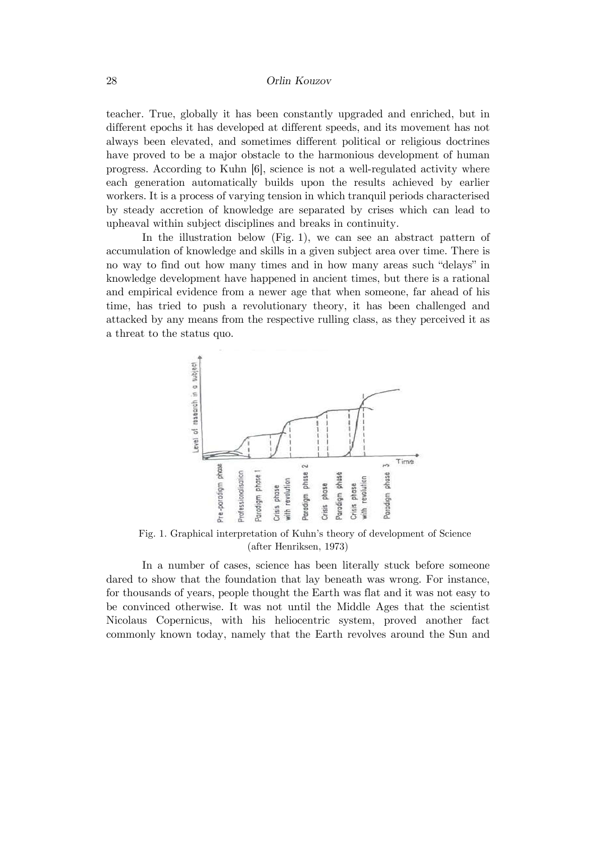teacher. True, globally it has been constantly upgraded and enriched, but in different epochs it has developed at different speeds, and its movement has not always been elevated, and sometimes different political or religious doctrines have proved to be a major obstacle to the harmonious development of human progress. According to Kuhn [6], science is not a well-regulated activity where each generation automatically builds upon the results achieved by earlier workers. It is a process of varying tension in which tranquil periods characterised by steady accretion of knowledge are separated by crises which can lead to upheaval within subject disciplines and breaks in continuity.

In the illustration below (Fig. 1), we can see an abstract pattern of accumulation of knowledge and skills in a given subject area over time. There is no way to find out how many times and in how many areas such "delays" in knowledge development have happened in ancient times, but there is a rational and empirical evidence from a newer age that when someone, far ahead of his time, has tried to push a revolutionary theory, it has been challenged and attacked by any means from the respective rulling class, as they perceived it as a threat to the status quo.



Fig. 1. Graphical interpretation of Kuhn's theory of development of Science (after Henriksen, 1973)

In a number of cases, science has been literally stuck before someone dared to show that the foundation that lay beneath was wrong. For instance, for thousands of years, people thought the Earth was flat and it was not easy to be convinced otherwise. It was not until the Middle Ages that the scientist Nicolaus Copernicus, with his heliocentric system, proved another fact commonly known today, namely that the Earth revolves around the Sun and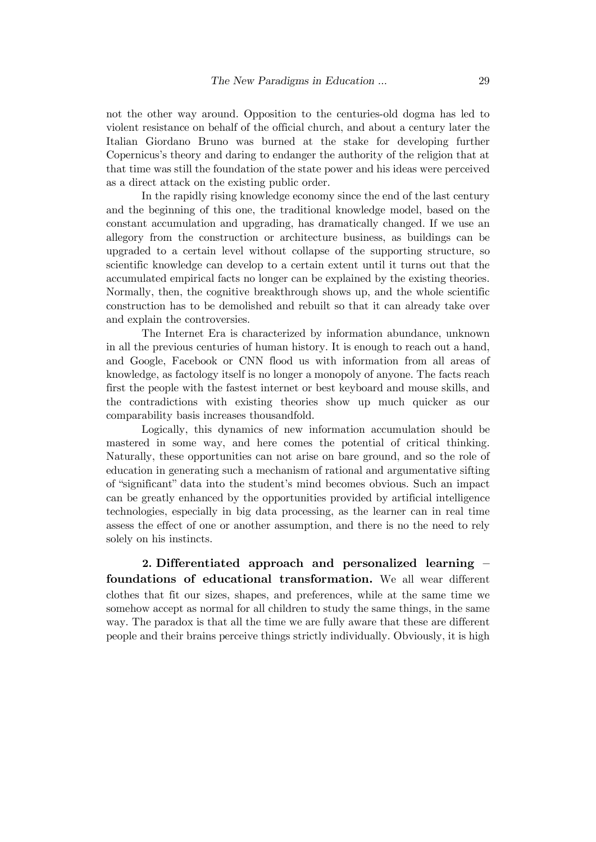not the other way around. Opposition to the centuries-old dogma has led to violent resistance on behalf of the official church, and about a century later the Italian Giordano Bruno was burned at the stake for developing further Copernicus's theory and daring to endanger the authority of the religion that at that time was still the foundation of the state power and his ideas were perceived as a direct attack on the existing public order.

In the rapidly rising knowledge economy since the end of the last century and the beginning of this one, the traditional knowledge model, based on the constant accumulation and upgrading, has dramatically changed. If we use an allegory from the construction or architecture business, as buildings can be upgraded to a certain level without collapse of the supporting structure, so scientific knowledge can develop to a certain extent until it turns out that the accumulated empirical facts no longer can be explained by the existing theories. Normally, then, the cognitive breakthrough shows up, and the whole scientific construction has to be demolished and rebuilt so that it can already take over and explain the controversies.

The Internet Era is characterized by information abundance, unknown in all the previous centuries of human history. It is enough to reach out a hand, and Google, Facebook or CNN flood us with information from all areas of knowledge, as factology itself is no longer a monopoly of anyone. The facts reach first the people with the fastest internet or best keyboard and mouse skills, and the contradictions with existing theories show up much quicker as our comparability basis increases thousandfold.

Logically, this dynamics of new information accumulation should be mastered in some way, and here comes the potential of critical thinking. Naturally, these opportunities can not arise on bare ground, and so the role of education in generating such a mechanism of rational and argumentative sifting of "significant" data into the student's mind becomes obvious. Such an impact can be greatly enhanced by the opportunities provided by artificial intelligence technologies, especially in big data processing, as the learner can in real time assess the effect of one or another assumption, and there is no the need to rely solely on his instincts.

**2. Differentiated approach and personalized learning – foundations of educational transformation.** We all wear different clothes that fit our sizes, shapes, and preferences, while at the same time we somehow accept as normal for all children to study the same things, in the same way. The paradox is that all the time we are fully aware that these are different people and their brains perceive things strictly individually. Obviously, it is high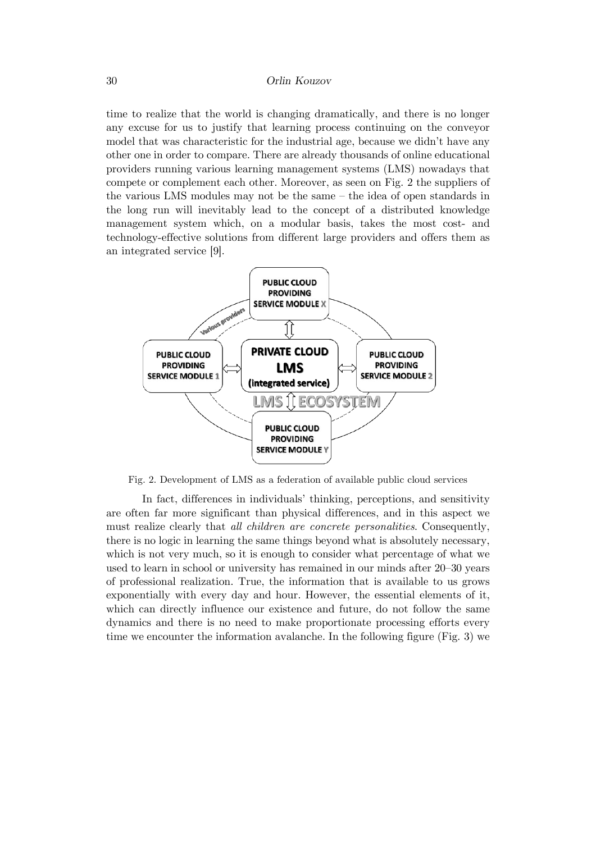time to realize that the world is changing dramatically, and there is no longer any excuse for us to justify that learning process continuing on the conveyor model that was characteristic for the industrial age, because we didn't have any other one in order to compare. There are already thousands of online educational providers running various learning management systems (LMS) nowadays that compete or complement each other. Moreover, as seen on Fig. 2 the suppliers of the various LMS modules may not be the same – the idea of open standards in the long run will inevitably lead to the concept of a distributed knowledge management system which, on a modular basis, takes the most cost- and technology-effective solutions from different large providers and offers them as an integrated service [9].



Fig. 2. Development of LMS as a federation of available public cloud services

In fact, differences in individuals' thinking, perceptions, and sensitivity are often far more significant than physical differences, and in this aspect we must realize clearly that *all children are concrete personalities*. Consequently, there is no logic in learning the same things beyond what is absolutely necessary, which is not very much, so it is enough to consider what percentage of what we used to learn in school or university has remained in our minds after 20–30 years of professional realization. True, the information that is available to us grows exponentially with every day and hour. However, the essential elements of it, which can directly influence our existence and future, do not follow the same dynamics and there is no need to make proportionate processing efforts every time we encounter the information avalanche. In the following figure (Fig. 3) we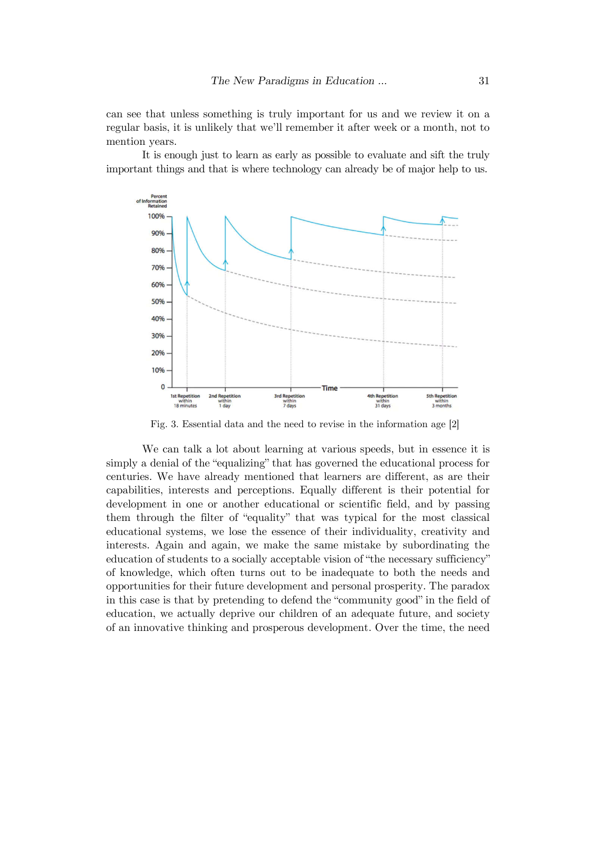can see that unless something is truly important for us and we review it on a regular basis, it is unlikely that we'll remember it after week or a month, not to mention years.

It is enough just to learn as early as possible to evaluate and sift the truly important things and that is where technology can already be of major help to us.



Fig. 3. Essential data and the need to revise in the information age [2]

We can talk a lot about learning at various speeds, but in essence it is simply a denial of the "equalizing" that has governed the educational process for centuries. We have already mentioned that learners are different, as are their capabilities, interests and perceptions. Equally different is their potential for development in one or another educational or scientific field, and by passing them through the filter of "equality" that was typical for the most classical educational systems, we lose the essence of their individuality, creativity and interests. Again and again, we make the same mistake by subordinating the education of students to a socially acceptable vision of "the necessary sufficiency" of knowledge, which often turns out to be inadequate to both the needs and opportunities for their future development and personal prosperity. The paradox in this case is that by pretending to defend the "community good" in the field of education, we actually deprive our children of an adequate future, and society of an innovative thinking and prosperous development. Over the time, the need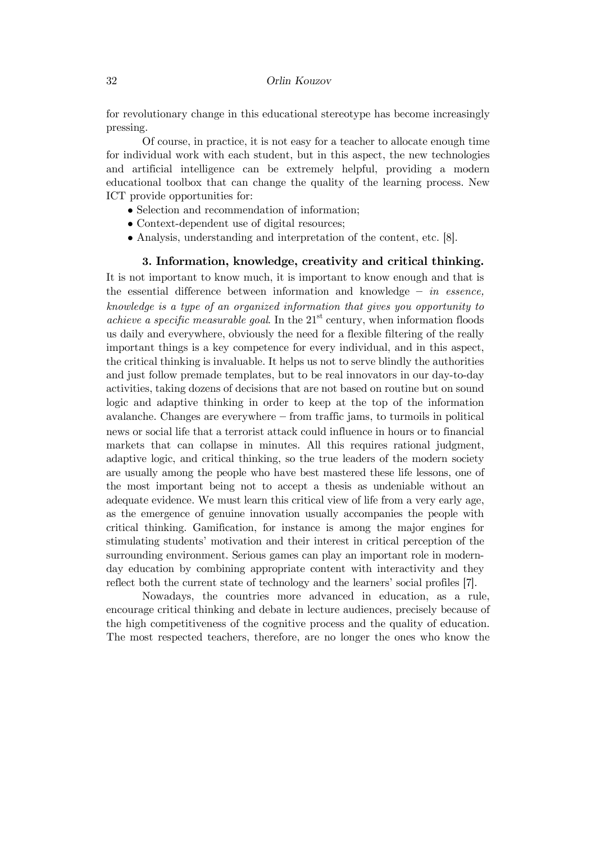for revolutionary change in this educational stereotype has become increasingly pressing.

Of course, in practice, it is not easy for a teacher to allocate enough time for individual work with each student, but in this aspect, the new technologies and artificial intelligence can be extremely helpful, providing a modern educational toolbox that can change the quality of the learning process. New ICT provide opportunities for:

- Selection and recommendation of information;
- Context-dependent use of digital resources;
- Analysis, understanding and interpretation of the content, etc. [8].

**3. Information, knowledge, creativity and critical thinking.** It is not important to know much, it is important to know enough and that is the essential difference between information and knowledge **–** *in essence, knowledge is a type of an organized information that gives you opportunity to achieve a specific measurable goal*. In the  $21<sup>st</sup>$  century, when information floods us daily and everywhere, obviously the need for a flexible filtering of the really important things is a key competence for every individual, and in this aspect, the critical thinking is invaluable. It helps us not to serve blindly the authorities and just follow premade templates, but to be real innovators in our day-to-day activities, taking dozens of decisions that are not based on routine but on sound logic and adaptive thinking in order to keep at the top of the information avalanche. Changes are everywhere **–** from traffic jams, to turmoils in political news or social life that a terrorist attack could influence in hours or to financial markets that can collapse in minutes. All this requires rational judgment, adaptive logic, and critical thinking, so the true leaders of the modern society are usually among the people who have best mastered these life lessons, one of the most important being not to accept a thesis as undeniable without an adequate evidence. We must learn this critical view of life from a very early age, as the emergence of genuine innovation usually accompanies the people with critical thinking. Gamification, for instance is among the major engines for stimulating students' motivation and their interest in critical perception of the surrounding environment. Serious games can play an important role in modernday education by combining appropriate content with interactivity and they reflect both the current state of technology and the learners' social profiles [7].

Nowadays, the countries more advanced in education, as a rule, encourage critical thinking and debate in lecture audiences, precisely because of the high competitiveness of the cognitive process and the quality of education. The most respected teachers, therefore, are no longer the ones who know the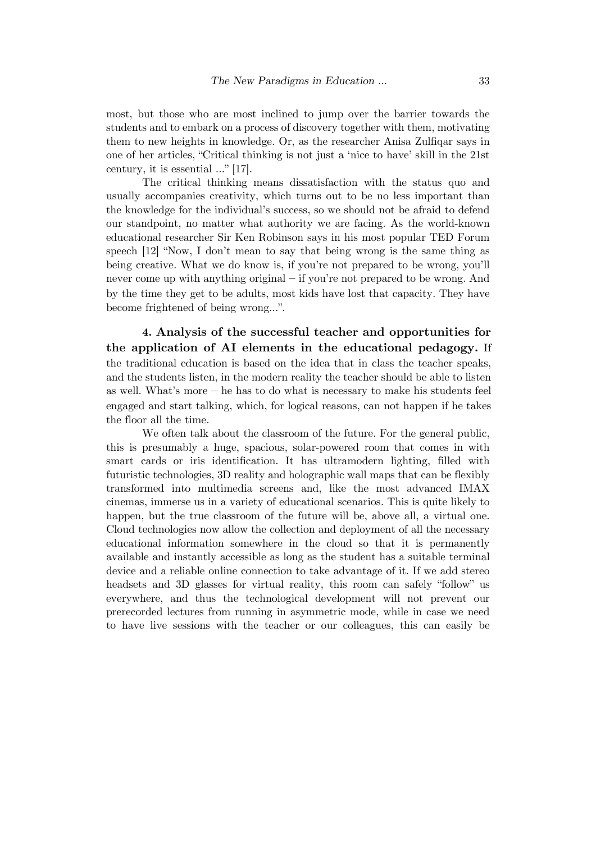most, but those who are most inclined to jump over the barrier towards the students and to embark on a process of discovery together with them, motivating them to new heights in knowledge. Or, as the researcher Anisa Zulfiqar says in one of her articles, "Critical thinking is not just a 'nice to have' skill in the 21st century, it is essential …" [17].

The critical thinking means dissatisfaction with the status quo and usually accompanies creativity, which turns out to be no less important than the knowledge for the individual's success, so we should not be afraid to defend our standpoint, no matter what authority we are facing. As the world-known educational researcher Sir Ken Robinson says in his most popular TED Forum speech [12] "Now, I don't mean to say that being wrong is the same thing as being creative. What we do know is, if you're not prepared to be wrong, you'll never come up with anything original **–** if you're not prepared to be wrong. And by the time they get to be adults, most kids have lost that capacity. They have become frightened of being wrong…".

**4. Analysis of the successful teacher and opportunities for the application of AI elements in the educational pedagogy.** If the traditional education is based on the idea that in class the teacher speaks, and the students listen, in the modern reality the teacher should be able to listen as well. What's more **–** he has to do what is necessary to make his students feel engaged and start talking, which, for logical reasons, can not happen if he takes the floor all the time.

We often talk about the classroom of the future. For the general public, this is presumably a huge, spacious, solar-powered room that comes in with smart cards or iris identification. It has ultramodern lighting, filled with futuristic technologies, 3D reality and holographic wall maps that can be flexibly transformed into multimedia screens and, like the most advanced IMAX cinemas, immerse us in a variety of educational scenarios. This is quite likely to happen, but the true classroom of the future will be, above all, a virtual one. Cloud technologies now allow the collection and deployment of all the necessary educational information somewhere in the cloud so that it is permanently available and instantly accessible as long as the student has a suitable terminal device and a reliable online connection to take advantage of it. If we add stereo headsets and 3D glasses for virtual reality, this room can safely "follow" us everywhere, and thus the technological development will not prevent our prerecorded lectures from running in asymmetric mode, while in case we need to have live sessions with the teacher or our colleagues, this can easily be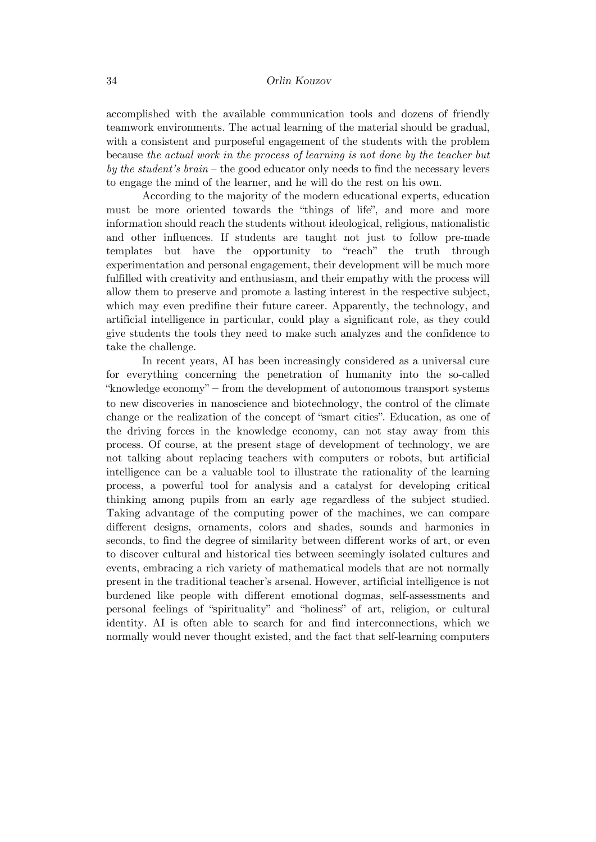accomplished with the available communication tools and dozens of friendly teamwork environments. The actual learning of the material should be gradual, with a consistent and purposeful engagement of the students with the problem because *the actual work in the process of learning is not done by the teacher but by the student's brain* – the good educator only needs to find the necessary levers to engage the mind of the learner, and he will do the rest on his own.

According to the majority of the modern educational experts, education must be more oriented towards the "things of life", and more and more information should reach the students without ideological, religious, nationalistic and other influences. If students are taught not just to follow pre-made templates but have the opportunity to "reach" the truth through experimentation and personal engagement, their development will be much more fulfilled with creativity and enthusiasm, and their empathy with the process will allow them to preserve and promote a lasting interest in the respective subject, which may even predifine their future career. Apparently, the technology, and artificial intelligence in particular, could play a significant role, as they could give students the tools they need to make such analyzes and the confidence to take the challenge.

In recent years, AI has been increasingly considered as a universal cure for everything concerning the penetration of humanity into the so-called "knowledge economy" **–** from the development of autonomous transport systems to new discoveries in nanoscience and biotechnology, the control of the climate change or the realization of the concept of "smart cities". Education, as one of the driving forces in the knowledge economy, can not stay away from this process. Of course, at the present stage of development of technology, we are not talking about replacing teachers with computers or robots, but artificial intelligence can be a valuable tool to illustrate the rationality of the learning process, a powerful tool for analysis and a catalyst for developing critical thinking among pupils from an early age regardless of the subject studied. Taking advantage of the computing power of the machines, we can compare different designs, ornaments, colors and shades, sounds and harmonies in seconds, to find the degree of similarity between different works of art, or even to discover cultural and historical ties between seemingly isolated cultures and events, embracing a rich variety of mathematical models that are not normally present in the traditional teacher's arsenal. However, artificial intelligence is not burdened like people with different emotional dogmas, self-assessments and personal feelings of "spirituality" and "holiness" of art, religion, or cultural identity. AI is often able to search for and find interconnections, which we normally would never thought existed, and the fact that self-learning computers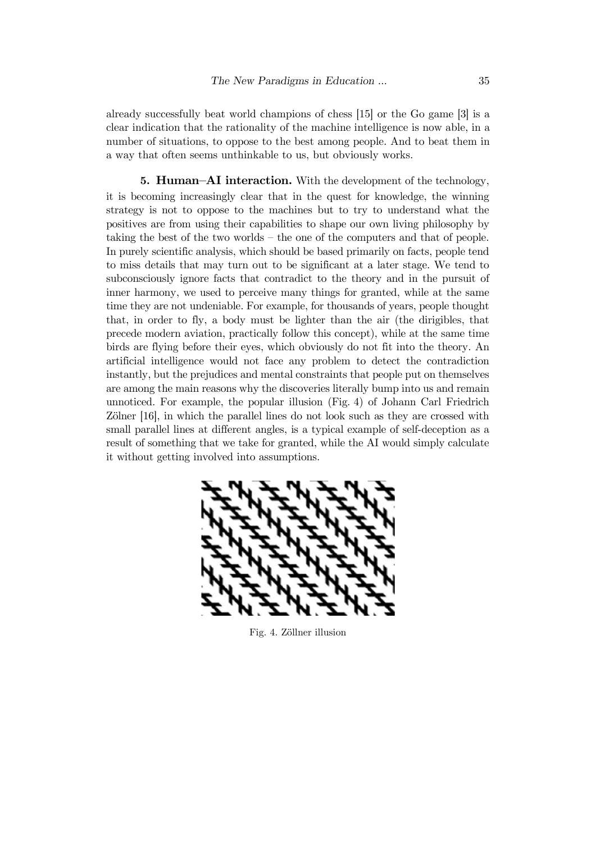already successfully beat world champions of chess [15] or the Go game [3] is a clear indication that the rationality of the machine intelligence is now able, in a number of situations, to oppose to the best among people. And to beat them in a way that often seems unthinkable to us, but obviously works.

**5. Human–AI interaction.** With the development of the technology, it is becoming increasingly clear that in the quest for knowledge, the winning strategy is not to oppose to the machines but to try to understand what the positives are from using their capabilities to shape our own living philosophy by taking the best of the two worlds – the one of the computers and that of people. In purely scientific analysis, which should be based primarily on facts, people tend to miss details that may turn out to be significant at a later stage. We tend to subconsciously ignore facts that contradict to the theory and in the pursuit of inner harmony, we used to perceive many things for granted, while at the same time they are not undeniable. For example, for thousands of years, people thought that, in order to fly, a body must be lighter than the air (the dirigibles, that precede modern aviation, practically follow this concept), while at the same time birds are flying before their eyes, which obviously do not fit into the theory. An artificial intelligence would not face any problem to detect the contradiction instantly, but the prejudices and mental constraints that people put on themselves are among the main reasons why the discoveries literally bump into us and remain unnoticed. For example, the popular illusion (Fig. 4) of Johann Carl Friedrich Zölner [16], in which the parallel lines do not look such as they are crossed with small parallel lines at different angles, is a typical example of self-deception as a result of something that we take for granted, while the AI would simply calculate it without getting involved into assumptions.



Fig. 4. Zöllner illusion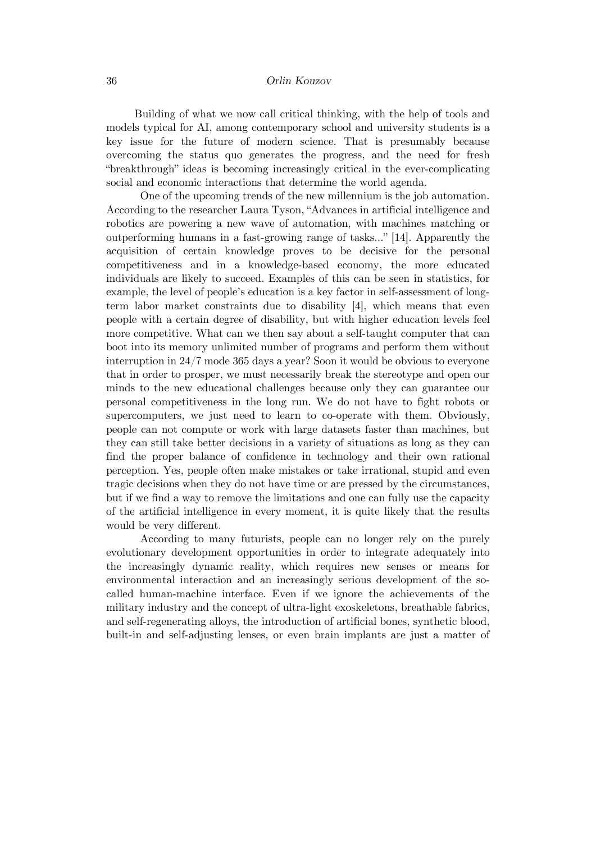Building of what we now call critical thinking, with the help of tools and models typical for AI, among contemporary school and university students is a key issue for the future of modern science. That is presumably because overcoming the status quo generates the progress, and the need for fresh "breakthrough" ideas is becoming increasingly critical in the ever-complicating social and economic interactions that determine the world agenda.

One of the upcoming trends of the new millennium is the job automation. According to the researcher Laura Tyson, "Advances in artificial intelligence and robotics are powering a new wave of automation, with machines matching or outperforming humans in a fast-growing range of tasks..." [14]. Apparently the acquisition of certain knowledge proves to be decisive for the personal competitiveness and in a knowledge-based economy, the more educated individuals are likely to succeed. Examples of this can be seen in statistics, for example, the level of people's education is a key factor in self-assessment of longterm labor market constraints due to disability [4], which means that even people with a certain degree of disability, but with higher education levels feel more competitive. What can we then say about a self-taught computer that can boot into its memory unlimited number of programs and perform them without interruption in 24/7 mode 365 days a year? Soon it would be obvious to everyone that in order to prosper, we must necessarily break the stereotype and open our minds to the new educational challenges because only they can guarantee our personal competitiveness in the long run. We do not have to fight robots or supercomputers, we just need to learn to co-operate with them. Obviously, people can not compute or work with large datasets faster than machines, but they can still take better decisions in a variety of situations as long as they can find the proper balance of confidence in technology and their own rational perception. Yes, people often make mistakes or take irrational, stupid and even tragic decisions when they do not have time or are pressed by the circumstances, but if we find a way to remove the limitations and one can fully use the capacity of the artificial intelligence in every moment, it is quite likely that the results would be very different.

According to many futurists, people can no longer rely on the purely evolutionary development opportunities in order to integrate adequately into the increasingly dynamic reality, which requires new senses or means for environmental interaction and an increasingly serious development of the socalled human-machine interface. Even if we ignore the achievements of the military industry and the concept of ultra-light exoskeletons, breathable fabrics, and self-regenerating alloys, the introduction of artificial bones, synthetic blood, built-in and self-adjusting lenses, or even brain implants are just a matter of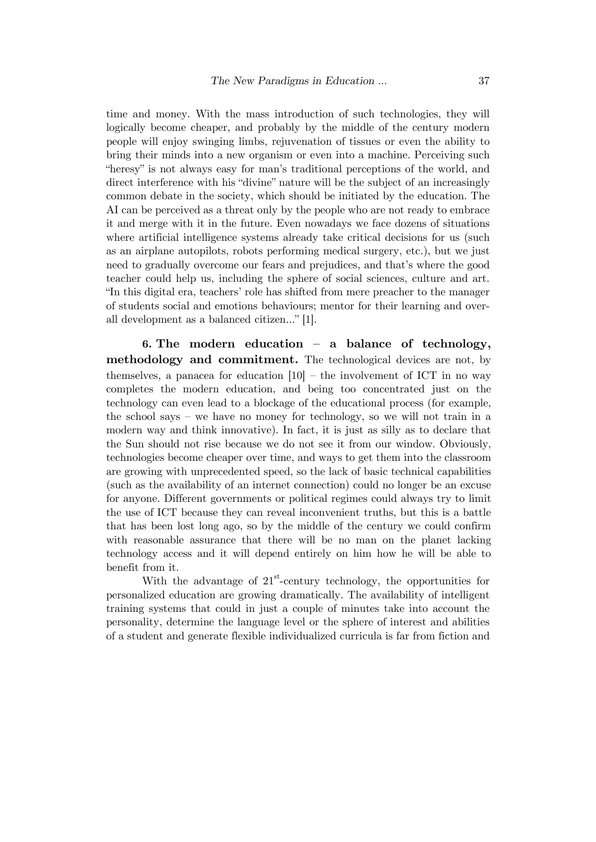time and money. With the mass introduction of such technologies, they will logically become cheaper, and probably by the middle of the century modern people will enjoy swinging limbs, rejuvenation of tissues or even the ability to bring their minds into a new organism or even into a machine. Perceiving such "heresy" is not always easy for man's traditional perceptions of the world, and direct interference with his "divine" nature will be the subject of an increasingly common debate in the society, which should be initiated by the education. The AI can be perceived as a threat only by the people who are not ready to embrace it and merge with it in the future. Even nowadays we face dozens of situations where artificial intelligence systems already take critical decisions for us (such as an airplane autopilots, robots performing medical surgery, etc.), but we just need to gradually overcome our fears and prejudices, and that's where the good teacher could help us, including the sphere of social sciences, culture and art. "In this digital era, teachers' role has shifted from mere preacher to the manager of students social and emotions behaviours; mentor for their learning and overall development as a balanced citizen…" [1].

**6. The modern education – a balance of technology, methodology and commitment.** The technological devices are not, by themselves, a panacea for education  $[10]$  – the involvement of ICT in no way completes the modern education, and being too concentrated just on the technology can even lead to a blockage of the educational process (for example, the school says – we have no money for technology, so we will not train in a modern way and think innovative). In fact, it is just as silly as to declare that the Sun should not rise because we do not see it from our window. Obviously, technologies become cheaper over time, and ways to get them into the classroom are growing with unprecedented speed, so the lack of basic technical capabilities (such as the availability of an internet connection) could no longer be an excuse for anyone. Different governments or political regimes could always try to limit the use of ICT because they can reveal inconvenient truths, but this is a battle that has been lost long ago, so by the middle of the century we could confirm with reasonable assurance that there will be no man on the planet lacking technology access and it will depend entirely on him how he will be able to benefit from it.

With the advantage of  $21<sup>st</sup>$ -century technology, the opportunities for personalized education are growing dramatically. The availability of intelligent training systems that could in just a couple of minutes take into account the personality, determine the language level or the sphere of interest and abilities of a student and generate flexible individualized curricula is far from fiction and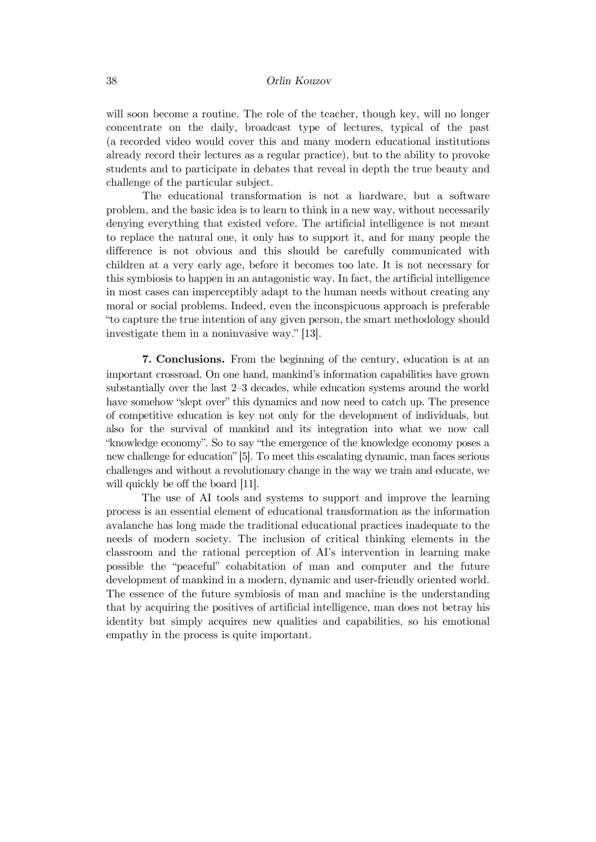will soon become a routine. The role of the teacher, though key, will no longer concentrate on the daily, broadcast type of lectures, typical of the past (a recorded video would cover this and many modern educational institutions already record their lectures as a regular practice), but to the ability to provoke students and to participate in debates that reveal in depth the true beauty and challenge of the particular subject.

The educational transformation is not a hardware, but a software problem, and the basic idea is to learn to think in a new way, without necessarily denying everything that existed vefore. The artificial intelligence is not meant to replace the natural one, it only has to support it, and for many people the difference is not obvious and this should be carefully communicated with children at a very early age, before it becomes too late. It is not necessary for this symbiosis to happen in an antagonistic way. In fact, the artificial intelligence in most cases can imperceptibly adapt to the human needs without creating any moral or social problems. Indeed, even the inconspicuous approach is preferable "to capture the true intention of any given person, the smart methodology should investigate them in a noninvasive way." [13].

**7. Conclusions.** From the beginning of the century, education is at an important crossroad. On one hand, mankind's information capabilities have grown substantially over the last 2–3 decades, while education systems around the world have somehow "slept over" this dynamics and now need to catch up. The presence of competitive education is key not only for the development of individuals, but also for the survival of mankind and its integration into what we now call "knowledge economy". So to say "the emergence of the knowledge economy poses a new challenge for education" [5]. To meet this escalating dynamic, man faces serious challenges and without a revolutionary change in the way we train and educate, we will quickly be off the board [11].

The use of AI tools and systems to support and improve the learning process is an essential element of educational transformation as the information avalanche has long made the traditional educational practices inadequate to the needs of modern society. The inclusion of critical thinking elements in the classroom and the rational perception of AI's intervention in learning make possible the "peaceful" cohabitation of man and computer and the future development of mankind in a modern, dynamic and user-friendly oriented world. The essence of the future symbiosis of man and machine is the understanding that by acquiring the positives of artificial intelligence, man does not betray his identity but simply acquires new qualities and capabilities, so his emotional empathy in the process is quite important.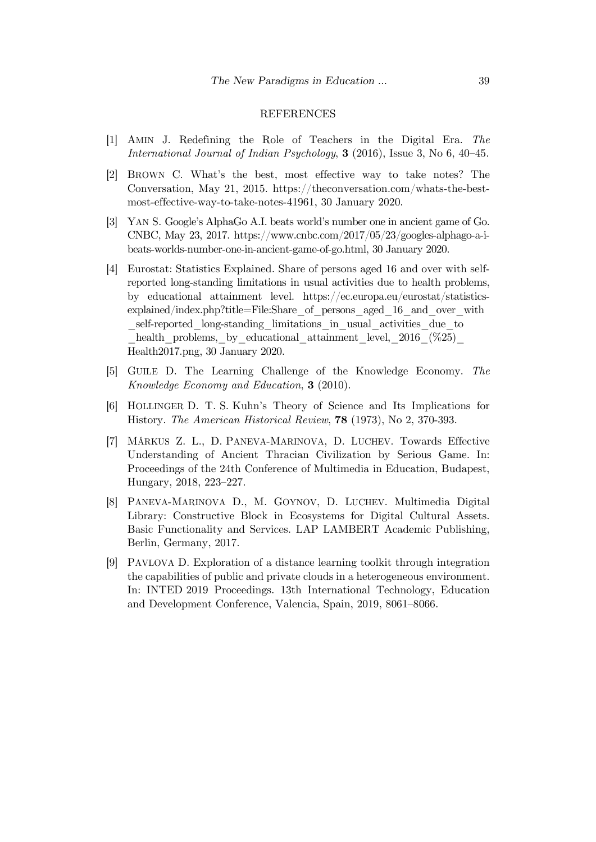#### REFERENCES

- [1] AMIN J. Redefining the Role of Teachers in the Digital Era. *The International Journal of Indian Psychology*, **3** (2016), Issue 3, No 6, 40–45.
- [2] BROWN C. What's the best, most effective way to take notes? The Conversation, May 21, 2015. https://theconversation.com/whats-the-bestmost-effective-way-to-take-notes-41961, 30 January 2020.
- [3] YAN S. Google's AlphaGo A.I. beats world's number one in ancient game of Go. CNBC, May 23, 2017. https://www.cnbc.com/2017/05/23/googles-alphago-a-ibeats-worlds-number-one-in-ancient-game-of-go.html, 30 January 2020.
- [4] Eurostat: Statistics Explained. Share of persons aged 16 and over with selfreported long-standing limitations in usual activities due to health problems, by educational attainment level. https://ec.europa.eu/eurostat/statisticsexplained/index.php?title=File:Share\_of\_persons\_aged\_16\_and\_over\_with \_self-reported\_long-standing\_limitations\_in\_usual\_activities\_due\_to health problems, by educational attainment level,  $2016$  (%25) Health2017.png, 30 January 2020.
- [5] GUILE D. The Learning Challenge of the Knowledge Economy. *The Knowledge Economy and Education*, **3** (2010).
- [6] HOLLINGER D. T. S. Kuhn's Theory of Science and Its Implications for History. *The American Historical Review*, **78** (1973), No 2, 370-393.
- [7] MÁRKUS Z. L., D. PANEVA-MARINOVA, D. LUCHEV. Towards Effective Understanding of Ancient Thracian Civilization by Serious Game. In: Proceedings of the 24th Conference of Multimedia in Education, Budapest, Hungary, 2018, 223–227.
- [8] PANEVA-MARINOVA D., M. GOYNOV, D. LUCHEV. Multimedia Digital Library: Constructive Block in Ecosystems for Digital Cultural Assets. Basic Functionality and Services. LAP LAMBERT Academic Publishing, Berlin, Germany, 2017.
- [9] PAVLOVA D. Exploration of a distance learning toolkit through integration the capabilities of public and private clouds in a heterogeneous environment. In: INTED 2019 Proceedings. 13th International Technology, Education and Development Conference, Valencia, Spain, 2019, 8061–8066.